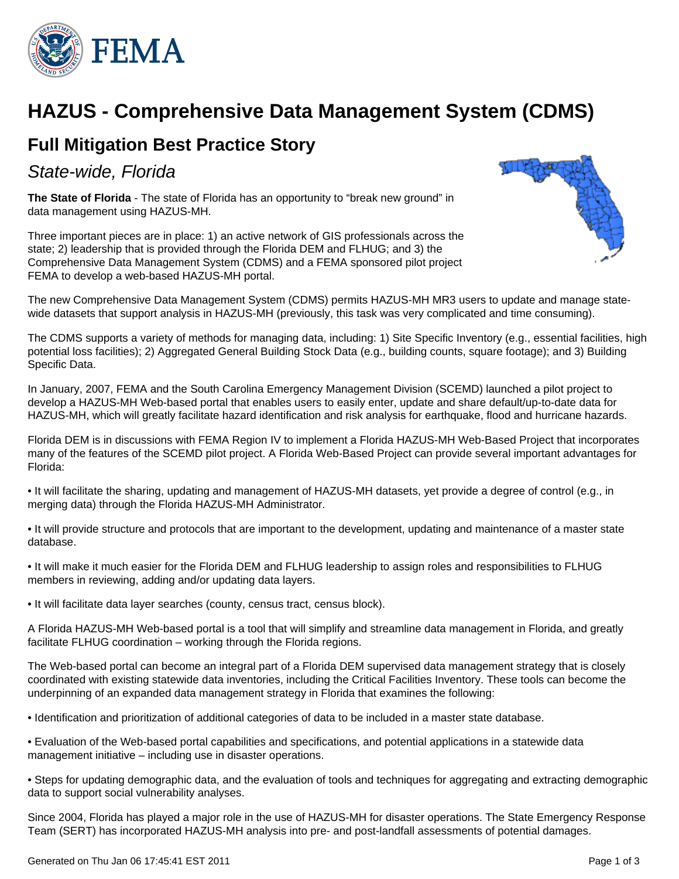

# **HAZUS - Comprehensive Data Management System (CDMS)**

## **Full Mitigation Best Practice Story**

State-wide, Florida

**The State of Florida** - The state of Florida has an opportunity to "break new ground" in data management using HAZUS-MH.

Three important pieces are in place: 1) an active network of GIS professionals across the state; 2) leadership that is provided through the Florida DEM and FLHUG; and 3) the Comprehensive Data Management System (CDMS) and a FEMA sponsored pilot project FEMA to develop a web-based HAZUS-MH portal.



The new Comprehensive Data Management System (CDMS) permits HAZUS-MH MR3 users to update and manage statewide datasets that support analysis in HAZUS-MH (previously, this task was very complicated and time consuming).

The CDMS supports a variety of methods for managing data, including: 1) Site Specific Inventory (e.g., essential facilities, high potential loss facilities); 2) Aggregated General Building Stock Data (e.g., building counts, square footage); and 3) Building Specific Data.

In January, 2007, FEMA and the South Carolina Emergency Management Division (SCEMD) launched a pilot project to develop a HAZUS-MH Web-based portal that enables users to easily enter, update and share default/up-to-date data for HAZUS-MH, which will greatly facilitate hazard identification and risk analysis for earthquake, flood and hurricane hazards.

Florida DEM is in discussions with FEMA Region IV to implement a Florida HAZUS-MH Web-Based Project that incorporates many of the features of the SCEMD pilot project. A Florida Web-Based Project can provide several important advantages for Florida:

• It will facilitate the sharing, updating and management of HAZUS-MH datasets, yet provide a degree of control (e.g., in merging data) through the Florida HAZUS-MH Administrator.

• It will provide structure and protocols that are important to the development, updating and maintenance of a master state database.

• It will make it much easier for the Florida DEM and FLHUG leadership to assign roles and responsibilities to FLHUG members in reviewing, adding and/or updating data layers.

• It will facilitate data layer searches (county, census tract, census block).

A Florida HAZUS-MH Web-based portal is a tool that will simplify and streamline data management in Florida, and greatly facilitate FLHUG coordination – working through the Florida regions.

The Web-based portal can become an integral part of a Florida DEM supervised data management strategy that is closely coordinated with existing statewide data inventories, including the Critical Facilities Inventory. These tools can become the underpinning of an expanded data management strategy in Florida that examines the following:

• Identification and prioritization of additional categories of data to be included in a master state database.

• Evaluation of the Web-based portal capabilities and specifications, and potential applications in a statewide data management initiative – including use in disaster operations.

• Steps for updating demographic data, and the evaluation of tools and techniques for aggregating and extracting demographic data to support social vulnerability analyses.

Since 2004, Florida has played a major role in the use of HAZUS-MH for disaster operations. The State Emergency Response Team (SERT) has incorporated HAZUS-MH analysis into pre- and post-landfall assessments of potential damages.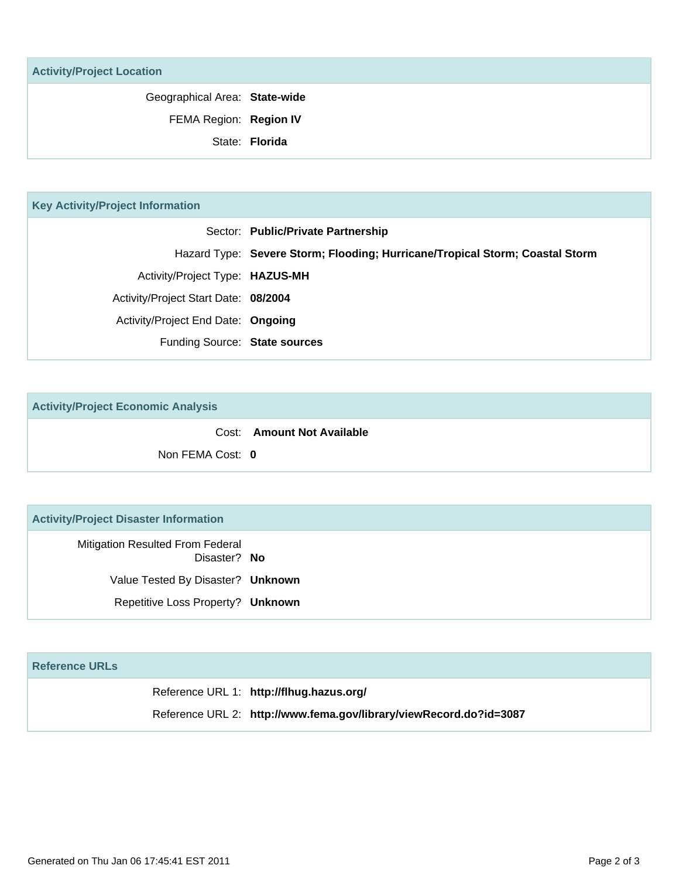|  | <b>Activity/Project Location</b> |
|--|----------------------------------|
|--|----------------------------------|

| Geographical Area: State-wide |  |
|-------------------------------|--|
| FEMA Region: Region IV        |  |
| State: Florida                |  |

| <b>Key Activity/Project Information</b> |                                      |                                                                              |
|-----------------------------------------|--------------------------------------|------------------------------------------------------------------------------|
|                                         |                                      | Sector: Public/Private Partnership                                           |
|                                         |                                      | Hazard Type: Severe Storm; Flooding; Hurricane/Tropical Storm; Coastal Storm |
|                                         | Activity/Project Type: HAZUS-MH      |                                                                              |
|                                         | Activity/Project Start Date: 08/2004 |                                                                              |
|                                         | Activity/Project End Date: Ongoing   |                                                                              |
|                                         | Funding Source: State sources        |                                                                              |
|                                         |                                      |                                                                              |

**Activity/Project Economic Analysis**

|                  | Cost: Amount Not Available |
|------------------|----------------------------|
| Non FEMA Cost: 0 |                            |

### **Activity/Project Disaster Information**

Mitigation Resulted From Federal Disaster? **No** Value Tested By Disaster? **Unknown** Repetitive Loss Property? **Unknown**

#### **Reference URLs**

Reference URL 1: **http://flhug.hazus.org/** Reference URL 2: **http://www.fema.gov/library/viewRecord.do?id=3087**